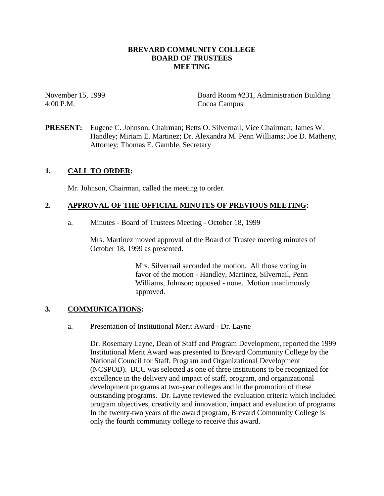## **BREVARD COMMUNITY COLLEGE BOARD OF TRUSTEES MEETING**

4:00 P.M. Cocoa Campus

November 15, 1999 Board Room #231, Administration Building

**PRESENT:** Eugene C. Johnson, Chairman; Betts O. Silvernail, Vice Chairman; James W. Handley; Miriam E. Martinez; Dr. Alexandra M. Penn Williams; Joe D. Matheny, Attorney; Thomas E. Gamble, Secretary

# **1. CALL TO ORDER:**

Mr. Johnson, Chairman, called the meeting to order.

# **2. APPROVAL OF THE OFFICIAL MINUTES OF PREVIOUS MEETING:**

a. Minutes - Board of Trustees Meeting - October 18, 1999

Mrs. Martinez moved approval of the Board of Trustee meeting minutes of October 18, 1999 as presented.

> Mrs. Silvernail seconded the motion. All those voting in favor of the motion - Handley, Martinez, Silvernail, Penn Williams, Johnson; opposed - none. Motion unanimously approved.

# **3. COMMUNICATIONS:**

## a. Presentation of Institutional Merit Award - Dr. Layne

Dr. Rosemary Layne, Dean of Staff and Program Development, reported the 1999 Institutional Merit Award was presented to Brevard Community College by the National Council for Staff, Program and Organizational Development (NCSPOD). BCC was selected as one of three institutions to be recognized for excellence in the delivery and impact of staff, program, and organizational development programs at two-year colleges and in the promotion of these outstanding programs. Dr. Layne reviewed the evaluation criteria which included program objectives, creativity and innovation, impact and evaluation of programs. In the twenty-two years of the award program, Brevard Community College is only the fourth community college to receive this award.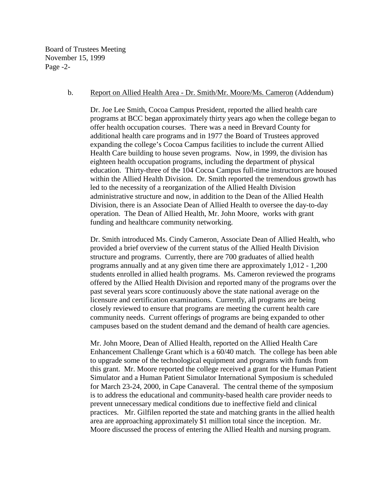Board of Trustees Meeting November 15, 1999 Page -2-

#### b. Report on Allied Health Area - Dr. Smith/Mr. Moore/Ms. Cameron (Addendum)

Dr. Joe Lee Smith, Cocoa Campus President, reported the allied health care programs at BCC began approximately thirty years ago when the college began to offer health occupation courses. There was a need in Brevard County for additional health care programs and in 1977 the Board of Trustees approved expanding the college's Cocoa Campus facilities to include the current Allied Health Care building to house seven programs. Now, in 1999, the division has eighteen health occupation programs, including the department of physical education. Thirty-three of the 104 Cocoa Campus full-time instructors are housed within the Allied Health Division. Dr. Smith reported the tremendous growth has led to the necessity of a reorganization of the Allied Health Division administrative structure and now, in addition to the Dean of the Allied Health Division, there is an Associate Dean of Allied Health to oversee the day-to-day operation. The Dean of Allied Health, Mr. John Moore, works with grant funding and healthcare community networking.

Dr. Smith introduced Ms. Cindy Cameron, Associate Dean of Allied Health, who provided a brief overview of the current status of the Allied Health Division structure and programs. Currently, there are 700 graduates of allied health programs annually and at any given time there are approximately 1,012 - 1,200 students enrolled in allied health programs. Ms. Cameron reviewed the programs offered by the Allied Health Division and reported many of the programs over the past several years score continuously above the state national average on the licensure and certification examinations. Currently, all programs are being closely reviewed to ensure that programs are meeting the current health care community needs. Current offerings of programs are being expanded to other campuses based on the student demand and the demand of health care agencies.

Mr. John Moore, Dean of Allied Health, reported on the Allied Health Care Enhancement Challenge Grant which is a 60/40 match. The college has been able to upgrade some of the technological equipment and programs with funds from this grant. Mr. Moore reported the college received a grant for the Human Patient Simulator and a Human Patient Simulator International Symposium is scheduled for March 23-24, 2000, in Cape Canaveral. The central theme of the symposium is to address the educational and community-based health care provider needs to prevent unnecessary medical conditions due to ineffective field and clinical practices. Mr. Gilfilen reported the state and matching grants in the allied health area are approaching approximately \$1 million total since the inception. Mr. Moore discussed the process of entering the Allied Health and nursing program.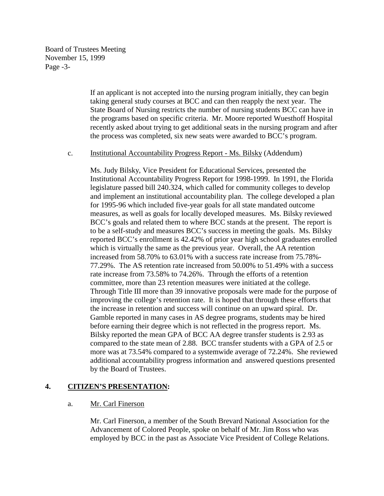Board of Trustees Meeting November 15, 1999 Page -3-

> If an applicant is not accepted into the nursing program initially, they can begin taking general study courses at BCC and can then reapply the next year. The State Board of Nursing restricts the number of nursing students BCC can have in the programs based on specific criteria. Mr. Moore reported Wuesthoff Hospital recently asked about trying to get additional seats in the nursing program and after the process was completed, six new seats were awarded to BCC's program.

#### c. Institutional Accountability Progress Report - Ms. Bilsky (Addendum)

Ms. Judy Bilsky, Vice President for Educational Services, presented the Institutional Accountability Progress Report for 1998-1999. In 1991, the Florida legislature passed bill 240.324, which called for community colleges to develop and implement an institutional accountability plan. The college developed a plan for 1995-96 which included five-year goals for all state mandated outcome measures, as well as goals for locally developed measures. Ms. Bilsky reviewed BCC's goals and related them to where BCC stands at the present. The report is to be a self-study and measures BCC's success in meeting the goals. Ms. Bilsky reported BCC's enrollment is 42.42% of prior year high school graduates enrolled which is virtually the same as the previous year. Overall, the AA retention increased from 58.70% to 63.01% with a success rate increase from 75.78%- 77.29%. The AS retention rate increased from 50.00% to 51.49% with a success rate increase from 73.58% to 74.26%. Through the efforts of a retention committee, more than 23 retention measures were initiated at the college. Through Title III more than 39 innovative proposals were made for the purpose of improving the college's retention rate. It is hoped that through these efforts that the increase in retention and success will continue on an upward spiral. Dr. Gamble reported in many cases in AS degree programs, students may be hired before earning their degree which is not reflected in the progress report. Ms. Bilsky reported the mean GPA of BCC AA degree transfer students is 2.93 as compared to the state mean of 2.88. BCC transfer students with a GPA of 2.5 or more was at 73.54% compared to a systemwide average of 72.24%. She reviewed additional accountability progress information and answered questions presented by the Board of Trustees.

# **4. CITIZEN'S PRESENTATION:**

## a. Mr. Carl Finerson

Mr. Carl Finerson, a member of the South Brevard National Association for the Advancement of Colored People, spoke on behalf of Mr. Jim Ross who was employed by BCC in the past as Associate Vice President of College Relations.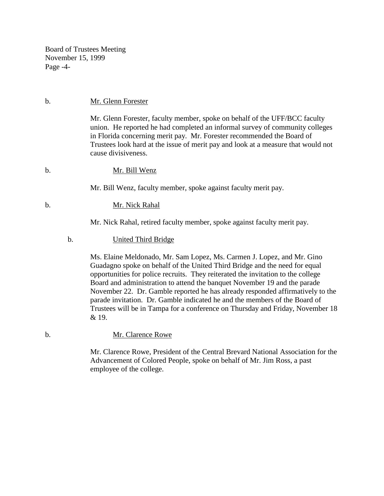Board of Trustees Meeting November 15, 1999 Page -4-

### b. Mr. Glenn Forester

Mr. Glenn Forester, faculty member, spoke on behalf of the UFF/BCC faculty union. He reported he had completed an informal survey of community colleges in Florida concerning merit pay. Mr. Forester recommended the Board of Trustees look hard at the issue of merit pay and look at a measure that would not cause divisiveness.

#### b. Mr. Bill Wenz

Mr. Bill Wenz, faculty member, spoke against faculty merit pay.

## b. Mr. Nick Rahal

Mr. Nick Rahal, retired faculty member, spoke against faculty merit pay.

#### b. United Third Bridge

Ms. Elaine Meldonado, Mr. Sam Lopez, Ms. Carmen J. Lopez, and Mr. Gino Guadagno spoke on behalf of the United Third Bridge and the need for equal opportunities for police recruits. They reiterated the invitation to the college Board and administration to attend the banquet November 19 and the parade November 22. Dr. Gamble reported he has already responded affirmatively to the parade invitation. Dr. Gamble indicated he and the members of the Board of Trustees will be in Tampa for a conference on Thursday and Friday, November 18 & 19.

## b. Mr. Clarence Rowe

 Mr. Clarence Rowe, President of the Central Brevard National Association for the Advancement of Colored People, spoke on behalf of Mr. Jim Ross, a past employee of the college.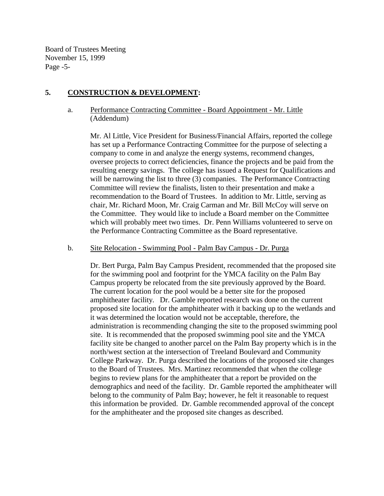Board of Trustees Meeting November 15, 1999 Page -5-

# **5. CONSTRUCTION & DEVELOPMENT:**

a. Performance Contracting Committee - Board Appointment - Mr. Little (Addendum)

Mr. Al Little, Vice President for Business/Financial Affairs, reported the college has set up a Performance Contracting Committee for the purpose of selecting a company to come in and analyze the energy systems, recommend changes, oversee projects to correct deficiencies, finance the projects and be paid from the resulting energy savings. The college has issued a Request for Qualifications and will be narrowing the list to three (3) companies. The Performance Contracting Committee will review the finalists, listen to their presentation and make a recommendation to the Board of Trustees. In addition to Mr. Little, serving as chair, Mr. Richard Moon, Mr. Craig Carman and Mr. Bill McCoy will serve on the Committee. They would like to include a Board member on the Committee which will probably meet two times. Dr. Penn Williams volunteered to serve on the Performance Contracting Committee as the Board representative.

### b. Site Relocation - Swimming Pool - Palm Bay Campus - Dr. Purga

Dr. Bert Purga, Palm Bay Campus President, recommended that the proposed site for the swimming pool and footprint for the YMCA facility on the Palm Bay Campus property be relocated from the site previously approved by the Board. The current location for the pool would be a better site for the proposed amphitheater facility. Dr. Gamble reported research was done on the current proposed site location for the amphitheater with it backing up to the wetlands and it was determined the location would not be acceptable, therefore, the administration is recommending changing the site to the proposed swimming pool site. It is recommended that the proposed swimming pool site and the YMCA facility site be changed to another parcel on the Palm Bay property which is in the north/west section at the intersection of Treeland Boulevard and Community College Parkway. Dr. Purga described the locations of the proposed site changes to the Board of Trustees. Mrs. Martinez recommended that when the college begins to review plans for the amphitheater that a report be provided on the demographics and need of the facility. Dr. Gamble reported the amphitheater will belong to the community of Palm Bay; however, he felt it reasonable to request this information be provided. Dr. Gamble recommended approval of the concept for the amphitheater and the proposed site changes as described.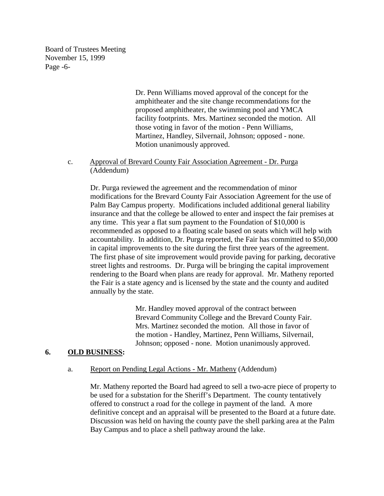Board of Trustees Meeting November 15, 1999 Page -6-

> Dr. Penn Williams moved approval of the concept for the amphitheater and the site change recommendations for the proposed amphitheater, the swimming pool and YMCA facility footprints. Mrs. Martinez seconded the motion. All those voting in favor of the motion - Penn Williams, Martinez, Handley, Silvernail, Johnson; opposed - none. Motion unanimously approved.

c. Approval of Brevard County Fair Association Agreement - Dr. Purga (Addendum)

Dr. Purga reviewed the agreement and the recommendation of minor modifications for the Brevard County Fair Association Agreement for the use of Palm Bay Campus property. Modifications included additional general liability insurance and that the college be allowed to enter and inspect the fair premises at any time. This year a flat sum payment to the Foundation of \$10,000 is recommended as opposed to a floating scale based on seats which will help with accountability. In addition, Dr. Purga reported, the Fair has committed to \$50,000 in capital improvements to the site during the first three years of the agreement. The first phase of site improvement would provide paving for parking, decorative street lights and restrooms. Dr. Purga will be bringing the capital improvement rendering to the Board when plans are ready for approval. Mr. Matheny reported the Fair is a state agency and is licensed by the state and the county and audited annually by the state.

> Mr. Handley moved approval of the contract between Brevard Community College and the Brevard County Fair. Mrs. Martinez seconded the motion. All those in favor of the motion - Handley, Martinez, Penn Williams, Silvernail, Johnson; opposed - none. Motion unanimously approved.

## **6. OLD BUSINESS:**

a. Report on Pending Legal Actions - Mr. Matheny (Addendum)

Mr. Matheny reported the Board had agreed to sell a two-acre piece of property to be used for a substation for the Sheriff's Department. The county tentatively offered to construct a road for the college in payment of the land. A more definitive concept and an appraisal will be presented to the Board at a future date. Discussion was held on having the county pave the shell parking area at the Palm Bay Campus and to place a shell pathway around the lake.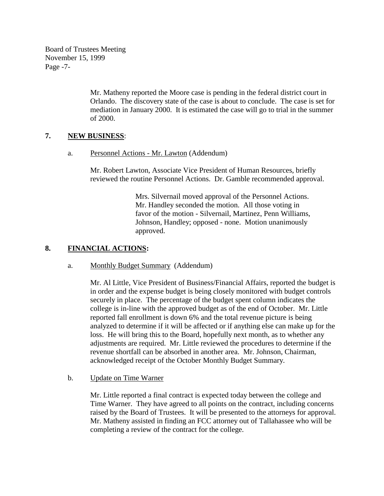Board of Trustees Meeting November 15, 1999 Page -7-

> Mr. Matheny reported the Moore case is pending in the federal district court in Orlando. The discovery state of the case is about to conclude. The case is set for mediation in January 2000. It is estimated the case will go to trial in the summer of 2000.

# **7. NEW BUSINESS**:

a. Personnel Actions - Mr. Lawton (Addendum)

Mr. Robert Lawton, Associate Vice President of Human Resources, briefly reviewed the routine Personnel Actions. Dr. Gamble recommended approval.

> Mrs. Silvernail moved approval of the Personnel Actions. Mr. Handley seconded the motion. All those voting in favor of the motion - Silvernail, Martinez, Penn Williams, Johnson, Handley; opposed - none. Motion unanimously approved.

## **8. FINANCIAL ACTIONS:**

## a. Monthly Budget Summary (Addendum)

Mr. Al Little, Vice President of Business/Financial Affairs, reported the budget is in order and the expense budget is being closely monitored with budget controls securely in place. The percentage of the budget spent column indicates the college is in-line with the approved budget as of the end of October. Mr. Little reported fall enrollment is down 6% and the total revenue picture is being analyzed to determine if it will be affected or if anything else can make up for the loss. He will bring this to the Board, hopefully next month, as to whether any adjustments are required. Mr. Little reviewed the procedures to determine if the revenue shortfall can be absorbed in another area. Mr. Johnson, Chairman, acknowledged receipt of the October Monthly Budget Summary.

b. Update on Time Warner

Mr. Little reported a final contract is expected today between the college and Time Warner. They have agreed to all points on the contract, including concerns raised by the Board of Trustees. It will be presented to the attorneys for approval. Mr. Matheny assisted in finding an FCC attorney out of Tallahassee who will be completing a review of the contract for the college.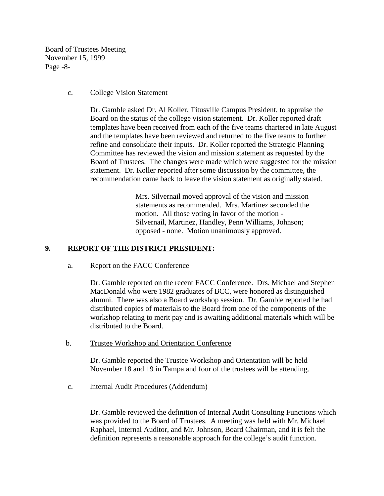Board of Trustees Meeting November 15, 1999 Page -8-

#### c. College Vision Statement

Dr. Gamble asked Dr. Al Koller, Titusville Campus President, to appraise the Board on the status of the college vision statement. Dr. Koller reported draft templates have been received from each of the five teams chartered in late August and the templates have been reviewed and returned to the five teams to further refine and consolidate their inputs. Dr. Koller reported the Strategic Planning Committee has reviewed the vision and mission statement as requested by the Board of Trustees. The changes were made which were suggested for the mission statement. Dr. Koller reported after some discussion by the committee, the recommendation came back to leave the vision statement as originally stated.

> Mrs. Silvernail moved approval of the vision and mission statements as recommended. Mrs. Martinez seconded the motion. All those voting in favor of the motion - Silvernail, Martinez, Handley, Penn Williams, Johnson; opposed - none. Motion unanimously approved.

# **9. REPORT OF THE DISTRICT PRESIDENT:**

a. Report on the FACC Conference

Dr. Gamble reported on the recent FACC Conference. Drs. Michael and Stephen MacDonald who were 1982 graduates of BCC, were honored as distinguished alumni. There was also a Board workshop session. Dr. Gamble reported he had distributed copies of materials to the Board from one of the components of the workshop relating to merit pay and is awaiting additional materials which will be distributed to the Board.

b. Trustee Workshop and Orientation Conference

 Dr. Gamble reported the Trustee Workshop and Orientation will be held November 18 and 19 in Tampa and four of the trustees will be attending.

c. Internal Audit Procedures (Addendum)

 Dr. Gamble reviewed the definition of Internal Audit Consulting Functions which was provided to the Board of Trustees. A meeting was held with Mr. Michael Raphael, Internal Auditor, and Mr. Johnson, Board Chairman, and it is felt the definition represents a reasonable approach for the college's audit function.